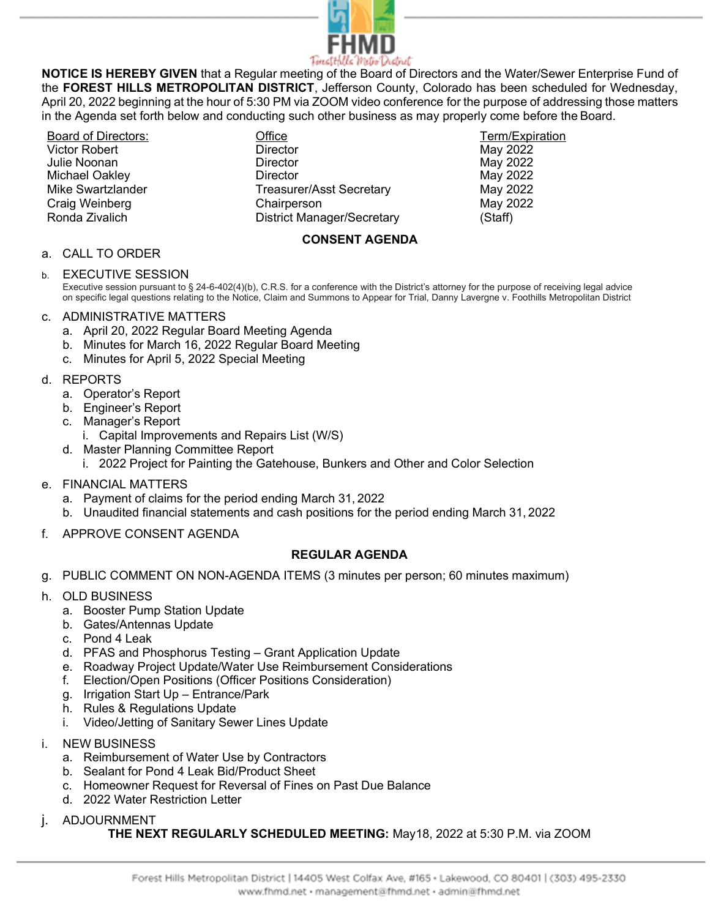

NOTICE IS HEREBY GIVEN that a Regular meeting of the Board of Directors and the Water/Sewer Enterprise Fund of the FOREST HILLS METROPOLITAN DISTRICT, Jefferson County, Colorado has been scheduled for Wednesday, April 20, 2022 beginning at the hour of 5:30 PM via ZOOM video conference for the purpose of addressing those matters in the Agenda set forth below and conducting such other business as may properly come before the Board.

Victor Robert Julie Noonan

Board of Directors: Term/Expiration Control of Control Office Term/Expiration Term/Expiration **Director Director** Michael Oakley **Nitional Community Community** Director **May 2022** May 2022 Mike Swartzlander Treasurer/Asst Secretary May 2022 Craig Weinberg Chairperson May 2022 Ronda Zivalich District Manager/Secretary (Staff)

May 2022 May 2022

## CONSENT AGENDA

### a. CALL TO ORDER

### b. EXECUTIVE SESSION

Executive session pursuant to § 24-6-402(4)(b), C.R.S. for a conference with the District's attorney for the purpose of receiving legal advice on specific legal questions relating to the Notice, Claim and Summons to Appear for Trial, Danny Lavergne v. Foothills Metropolitan District

#### c. ADMINISTRATIVE MATTERS

- a. April 20, 2022 Regular Board Meeting Agenda
- b. Minutes for March 16, 2022 Regular Board Meeting
- c. Minutes for April 5, 2022 Special Meeting

#### d. REPORTS

- a. Operator's Report
- b. Engineer's Report
- c. Manager's Report
	- i. Capital Improvements and Repairs List (W/S)
- d. Master Planning Committee Report
	- i. 2022 Project for Painting the Gatehouse, Bunkers and Other and Color Selection
- e. FINANCIAL MATTERS
	- a. Payment of claims for the period ending March 31, 2022
	- b. Unaudited financial statements and cash positions for the period ending March 31, 2022
- f. APPROVE CONSENT AGENDA

## REGULAR AGENDA

- g. PUBLIC COMMENT ON NON-AGENDA ITEMS (3 minutes per person; 60 minutes maximum)
- h. OLD BUSINESS
	- a. Booster Pump Station Update
	- b. Gates/Antennas Update
	- c. Pond 4 Leak
	- d. PFAS and Phosphorus Testing Grant Application Update
	- e. Roadway Project Update/Water Use Reimbursement Considerations
	- f. Election/Open Positions (Officer Positions Consideration)
	- g. Irrigation Start Up Entrance/Park
	- h. Rules & Regulations Update
	- i. Video/Jetting of Sanitary Sewer Lines Update
- i. NEW BUSINESS
	- a. Reimbursement of Water Use by Contractors
	- b. Sealant for Pond 4 Leak Bid/Product Sheet
	- c. Homeowner Request for Reversal of Fines on Past Due Balance
	- d. 2022 Water Restriction Letter
- j. ADJOURNMENT

#### THE NEXT REGULARLY SCHEDULED MEETING: May18, 2022 at 5:30 P.M. via ZOOM